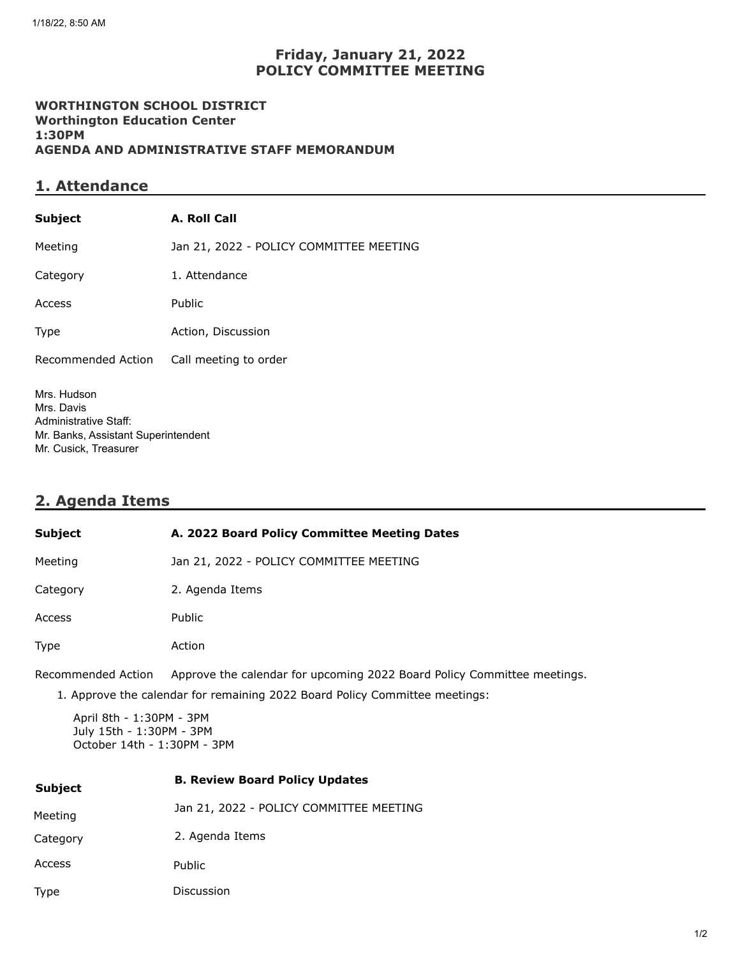### **Friday, January 21, 2022 POLICY COMMITTEE MEETING**

#### **WORTHINGTON SCHOOL DISTRICT Worthington Education Center 1:30PM AGENDA AND ADMINISTRATIVE STAFF MEMORANDUM**

### **1. Attendance**

| <b>Subject</b>     | A. Roll Call                            |
|--------------------|-----------------------------------------|
| Meeting            | Jan 21, 2022 - POLICY COMMITTEE MEETING |
| Category           | 1. Attendance                           |
| Access             | Public                                  |
| Type               | Action, Discussion                      |
| Recommended Action | Call meeting to order                   |
|                    |                                         |

Mrs. Hudson Mrs. Davis Administrative Staff: Mr. Banks, Assistant Superintendent Mr. Cusick, Treasurer

# **2. Agenda Items**

| Subject                                                                             | A. 2022 Board Policy Committee Meeting Dates                            |  |
|-------------------------------------------------------------------------------------|-------------------------------------------------------------------------|--|
| Meeting                                                                             | Jan 21, 2022 - POLICY COMMITTEE MEETING                                 |  |
| Category                                                                            | 2. Agenda Items                                                         |  |
| Access                                                                              | Public                                                                  |  |
| Type                                                                                | Action                                                                  |  |
| Recommended Action                                                                  | Approve the calendar for upcoming 2022 Board Policy Committee meetings. |  |
| 1. Approve the calendar for remaining 2022 Board Policy Committee meetings:         |                                                                         |  |
| April 8th - 1:30PM - 3PM<br>July 15th - 1:30PM - 3PM<br>October 14th - 1:30PM - 3PM |                                                                         |  |
| <b>Subject</b>                                                                      | <b>B. Review Board Policy Updates</b>                                   |  |
| Meeting                                                                             | Jan 21, 2022 - POLICY COMMITTEE MEETING                                 |  |
| Category                                                                            | 2. Agenda Items                                                         |  |

Access Public

Type Discussion